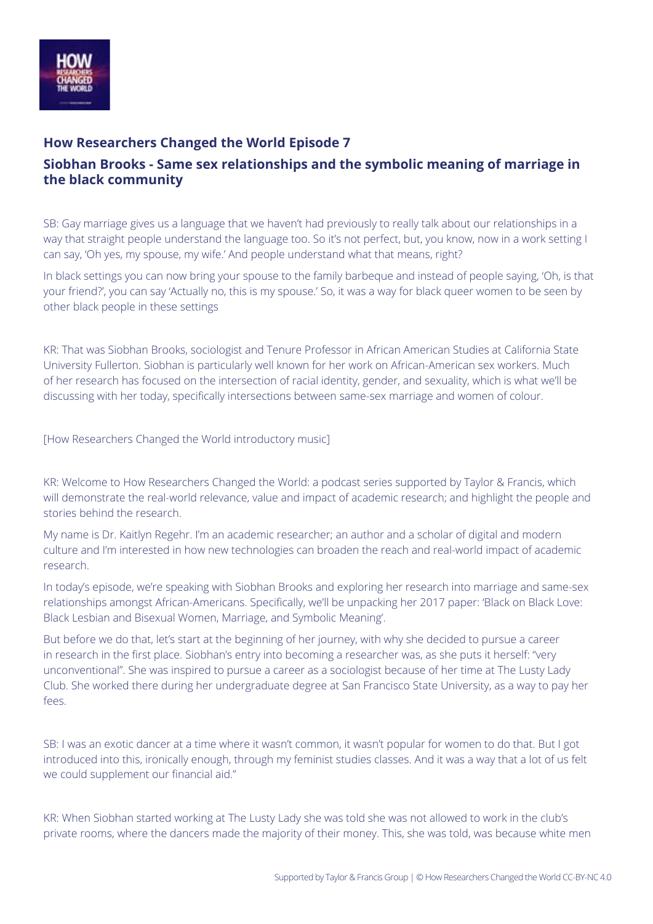

## **How Researchers Changed the World Episode 7 Siobhan Brooks - Same sex relationships and the symbolic meaning of marriage in the black community**

SB: Gay marriage gives us a language that we haven't had previously to really talk about our relationships in a way that straight people understand the language too. So it's not perfect, but, you know, now in a work setting I can say, 'Oh yes, my spouse, my wife.' And people understand what that means, right?

In black settings you can now bring your spouse to the family barbeque and instead of people saying, 'Oh, is that your friend?', you can say 'Actually no, this is my spouse.' So, it was a way for black queer women to be seen by other black people in these settings

KR: That was Siobhan Brooks, sociologist and Tenure Professor in African American Studies at California State University Fullerton. Siobhan is particularly well known for her work on African-American sex workers. Much of her research has focused on the intersection of racial identity, gender, and sexuality, which is what we'll be discussing with her today, specifically intersections between same-sex marriage and women of colour.

[How Researchers Changed the World introductory music]

KR: Welcome to How Researchers Changed the World: a podcast series supported by Taylor & Francis, which will demonstrate the real-world relevance, value and impact of academic research; and highlight the people and stories behind the research.

My name is Dr. Kaitlyn Regehr. I'm an academic researcher; an author and a scholar of digital and modern culture and I'm interested in how new technologies can broaden the reach and real-world impact of academic research.

In today's episode, we're speaking with Siobhan Brooks and exploring her research into marriage and same-sex relationships amongst African-Americans. Specifically, we'll be unpacking her 2017 paper: 'Black on Black Love: Black Lesbian and Bisexual Women, Marriage, and Symbolic Meaning'.

But before we do that, let's start at the beginning of her journey, with why she decided to pursue a career in research in the first place. Siobhan's entry into becoming a researcher was, as she puts it herself: "very unconventional". She was inspired to pursue a career as a sociologist because of her time at The Lusty Lady Club. She worked there during her undergraduate degree at San Francisco State University, as a way to pay her fees.

SB: I was an exotic dancer at a time where it wasn't common, it wasn't popular for women to do that. But I got introduced into this, ironically enough, through my feminist studies classes. And it was a way that a lot of us felt we could supplement our financial aid."

KR: When Siobhan started working at The Lusty Lady she was told she was not allowed to work in the club's private rooms, where the dancers made the majority of their money. This, she was told, was because white men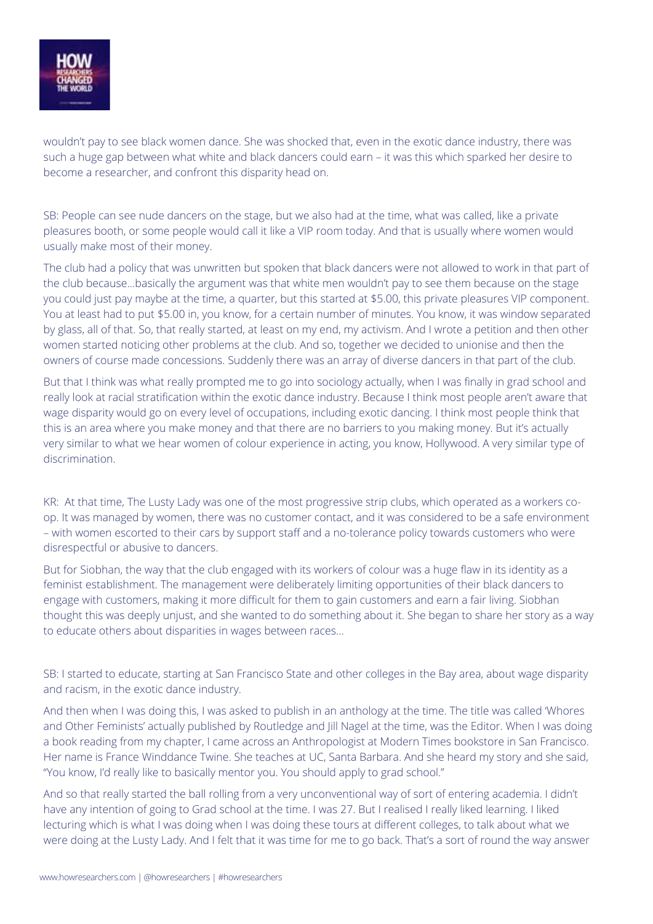

wouldn't pay to see black women dance. She was shocked that, even in the exotic dance industry, there was such a huge gap between what white and black dancers could earn – it was this which sparked her desire to become a researcher, and confront this disparity head on.

SB: People can see nude dancers on the stage, but we also had at the time, what was called, like a private pleasures booth, or some people would call it like a VIP room today. And that is usually where women would usually make most of their money.

The club had a policy that was unwritten but spoken that black dancers were not allowed to work in that part of the club because…basically the argument was that white men wouldn't pay to see them because on the stage you could just pay maybe at the time, a quarter, but this started at \$5.00, this private pleasures VIP component. You at least had to put \$5.00 in, you know, for a certain number of minutes. You know, it was window separated by glass, all of that. So, that really started, at least on my end, my activism. And I wrote a petition and then other women started noticing other problems at the club. And so, together we decided to unionise and then the owners of course made concessions. Suddenly there was an array of diverse dancers in that part of the club.

But that I think was what really prompted me to go into sociology actually, when I was finally in grad school and really look at racial stratification within the exotic dance industry. Because I think most people aren't aware that wage disparity would go on every level of occupations, including exotic dancing. I think most people think that this is an area where you make money and that there are no barriers to you making money. But it's actually very similar to what we hear women of colour experience in acting, you know, Hollywood. A very similar type of discrimination.

KR: At that time, The Lusty Lady was one of the most progressive strip clubs, which operated as a workers coop. It was managed by women, there was no customer contact, and it was considered to be a safe environment – with women escorted to their cars by support staff and a no-tolerance policy towards customers who were disrespectful or abusive to dancers.

But for Siobhan, the way that the club engaged with its workers of colour was a huge flaw in its identity as a feminist establishment. The management were deliberately limiting opportunities of their black dancers to engage with customers, making it more difficult for them to gain customers and earn a fair living. Siobhan thought this was deeply unjust, and she wanted to do something about it. She began to share her story as a way to educate others about disparities in wages between races…

SB: I started to educate, starting at San Francisco State and other colleges in the Bay area, about wage disparity and racism, in the exotic dance industry.

And then when I was doing this, I was asked to publish in an anthology at the time. The title was called 'Whores and Other Feminists' actually published by Routledge and Jill Nagel at the time, was the Editor. When I was doing a book reading from my chapter, I came across an Anthropologist at Modern Times bookstore in San Francisco. Her name is France Winddance Twine. She teaches at UC, Santa Barbara. And she heard my story and she said, "You know, I'd really like to basically mentor you. You should apply to grad school."

And so that really started the ball rolling from a very unconventional way of sort of entering academia. I didn't have any intention of going to Grad school at the time. I was 27. But I realised I really liked learning. I liked lecturing which is what I was doing when I was doing these tours at different colleges, to talk about what we were doing at the Lusty Lady. And I felt that it was time for me to go back. That's a sort of round the way answer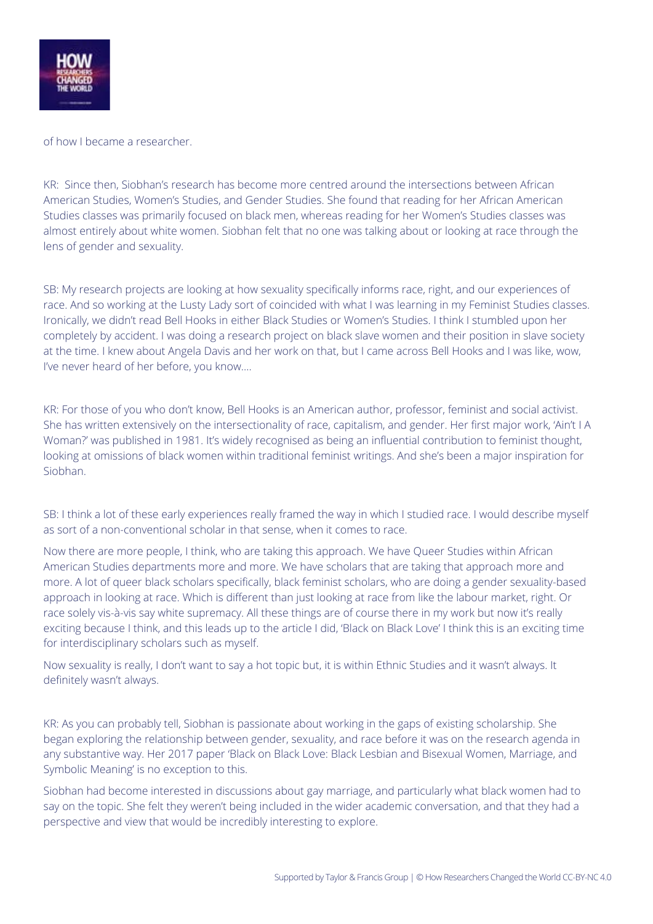

of how I became a researcher.

KR: Since then, Siobhan's research has become more centred around the intersections between African American Studies, Women's Studies, and Gender Studies. She found that reading for her African American Studies classes was primarily focused on black men, whereas reading for her Women's Studies classes was almost entirely about white women. Siobhan felt that no one was talking about or looking at race through the lens of gender and sexuality.

SB: My research projects are looking at how sexuality specifically informs race, right, and our experiences of race. And so working at the Lusty Lady sort of coincided with what I was learning in my Feminist Studies classes. Ironically, we didn't read Bell Hooks in either Black Studies or Women's Studies. I think I stumbled upon her completely by accident. I was doing a research project on black slave women and their position in slave society at the time. I knew about Angela Davis and her work on that, but I came across Bell Hooks and I was like, wow, I've never heard of her before, you know….

KR: For those of you who don't know, Bell Hooks is an American author, professor, feminist and social activist. She has written extensively on the intersectionality of race, capitalism, and gender. Her first major work, 'Ain't I A Woman?' was published in 1981. It's widely recognised as being an influential contribution to feminist thought, looking at omissions of black women within traditional feminist writings. And she's been a major inspiration for Siobhan.

SB: I think a lot of these early experiences really framed the way in which I studied race. I would describe myself as sort of a non-conventional scholar in that sense, when it comes to race.

Now there are more people, I think, who are taking this approach. We have Queer Studies within African American Studies departments more and more. We have scholars that are taking that approach more and more. A lot of queer black scholars specifically, black feminist scholars, who are doing a gender sexuality-based approach in looking at race. Which is different than just looking at race from like the labour market, right. Or race solely vis-à-vis say white supremacy. All these things are of course there in my work but now it's really exciting because I think, and this leads up to the article I did, 'Black on Black Love' I think this is an exciting time for interdisciplinary scholars such as myself.

Now sexuality is really, I don't want to say a hot topic but, it is within Ethnic Studies and it wasn't always. It definitely wasn't always.

KR: As you can probably tell, Siobhan is passionate about working in the gaps of existing scholarship. She began exploring the relationship between gender, sexuality, and race before it was on the research agenda in any substantive way. Her 2017 paper 'Black on Black Love: Black Lesbian and Bisexual Women, Marriage, and Symbolic Meaning' is no exception to this.

Siobhan had become interested in discussions about gay marriage, and particularly what black women had to say on the topic. She felt they weren't being included in the wider academic conversation, and that they had a perspective and view that would be incredibly interesting to explore.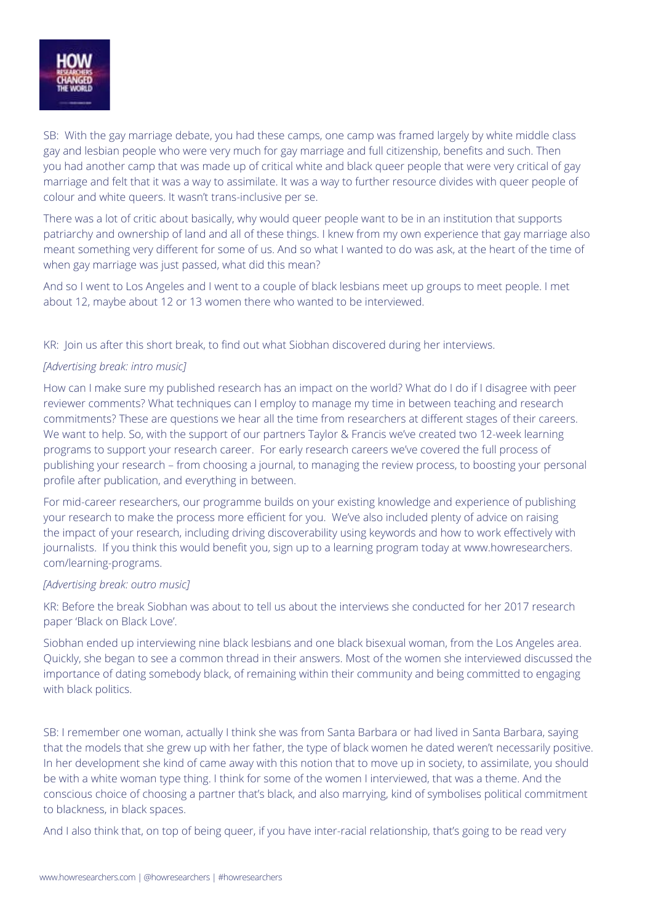

SB: With the gay marriage debate, you had these camps, one camp was framed largely by white middle class gay and lesbian people who were very much for gay marriage and full citizenship, benefits and such. Then you had another camp that was made up of critical white and black queer people that were very critical of gay marriage and felt that it was a way to assimilate. It was a way to further resource divides with queer people of colour and white queers. It wasn't trans-inclusive per se.

There was a lot of critic about basically, why would queer people want to be in an institution that supports patriarchy and ownership of land and all of these things. I knew from my own experience that gay marriage also meant something very different for some of us. And so what I wanted to do was ask, at the heart of the time of when gay marriage was just passed, what did this mean?

And so I went to Los Angeles and I went to a couple of black lesbians meet up groups to meet people. I met about 12, maybe about 12 or 13 women there who wanted to be interviewed.

KR: Join us after this short break, to find out what Siobhan discovered during her interviews.

## *[Advertising break: intro music]*

How can I make sure my published research has an impact on the world? What do I do if I disagree with peer reviewer comments? What techniques can I employ to manage my time in between teaching and research commitments? These are questions we hear all the time from researchers at different stages of their careers. We want to help. So, with the support of our partners Taylor & Francis we've created two 12-week learning programs to support your research career. For early research careers we've covered the full process of publishing your research – from choosing a journal, to managing the review process, to boosting your personal profile after publication, and everything in between.

For mid-career researchers, our programme builds on your existing knowledge and experience of publishing your research to make the process more efficient for you. We've also included plenty of advice on raising the impact of your research, including driving discoverability using keywords and how to work effectively with journalists. If you think this would benefit you, sign up to a learning program today at www.howresearchers. com/learning-programs.

## *[Advertising break: outro music]*

KR: Before the break Siobhan was about to tell us about the interviews she conducted for her 2017 research paper 'Black on Black Love'.

Siobhan ended up interviewing nine black lesbians and one black bisexual woman, from the Los Angeles area. Quickly, she began to see a common thread in their answers. Most of the women she interviewed discussed the importance of dating somebody black, of remaining within their community and being committed to engaging with black politics.

SB: I remember one woman, actually I think she was from Santa Barbara or had lived in Santa Barbara, saying that the models that she grew up with her father, the type of black women he dated weren't necessarily positive. In her development she kind of came away with this notion that to move up in society, to assimilate, you should be with a white woman type thing. I think for some of the women I interviewed, that was a theme. And the conscious choice of choosing a partner that's black, and also marrying, kind of symbolises political commitment to blackness, in black spaces.

And I also think that, on top of being queer, if you have inter-racial relationship, that's going to be read very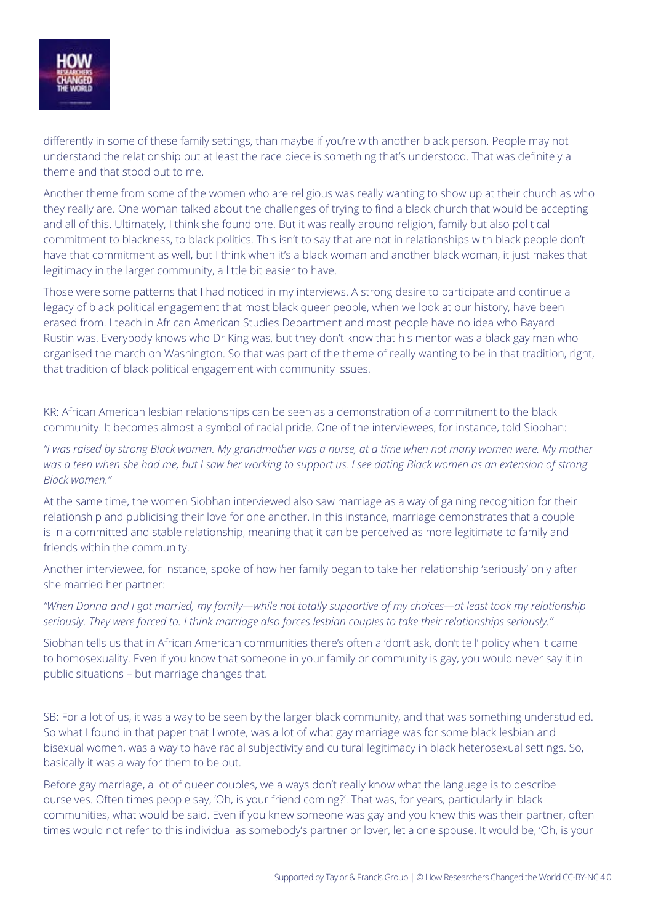

differently in some of these family settings, than maybe if you're with another black person. People may not understand the relationship but at least the race piece is something that's understood. That was definitely a theme and that stood out to me.

Another theme from some of the women who are religious was really wanting to show up at their church as who they really are. One woman talked about the challenges of trying to find a black church that would be accepting and all of this. Ultimately, I think she found one. But it was really around religion, family but also political commitment to blackness, to black politics. This isn't to say that are not in relationships with black people don't have that commitment as well, but I think when it's a black woman and another black woman, it just makes that legitimacy in the larger community, a little bit easier to have.

Those were some patterns that I had noticed in my interviews. A strong desire to participate and continue a legacy of black political engagement that most black queer people, when we look at our history, have been erased from. I teach in African American Studies Department and most people have no idea who Bayard Rustin was. Everybody knows who Dr King was, but they don't know that his mentor was a black gay man who organised the march on Washington. So that was part of the theme of really wanting to be in that tradition, right, that tradition of black political engagement with community issues.

KR: African American lesbian relationships can be seen as a demonstration of a commitment to the black community. It becomes almost a symbol of racial pride. One of the interviewees, for instance, told Siobhan:

*"I was raised by strong Black women. My grandmother was a nurse, at a time when not many women were. My mother was a teen when she had me, but I saw her working to support us. I see dating Black women as an extension of strong Black women."*

At the same time, the women Siobhan interviewed also saw marriage as a way of gaining recognition for their relationship and publicising their love for one another. In this instance, marriage demonstrates that a couple is in a committed and stable relationship, meaning that it can be perceived as more legitimate to family and friends within the community.

Another interviewee, for instance, spoke of how her family began to take her relationship 'seriously' only after she married her partner:

*"When Donna and I got married, my family—while not totally supportive of my choices—at least took my relationship seriously. They were forced to. I think marriage also forces lesbian couples to take their relationships seriously."*

Siobhan tells us that in African American communities there's often a 'don't ask, don't tell' policy when it came to homosexuality. Even if you know that someone in your family or community is gay, you would never say it in public situations – but marriage changes that.

SB: For a lot of us, it was a way to be seen by the larger black community, and that was something understudied. So what I found in that paper that I wrote, was a lot of what gay marriage was for some black lesbian and bisexual women, was a way to have racial subjectivity and cultural legitimacy in black heterosexual settings. So, basically it was a way for them to be out.

Before gay marriage, a lot of queer couples, we always don't really know what the language is to describe ourselves. Often times people say, 'Oh, is your friend coming?'. That was, for years, particularly in black communities, what would be said. Even if you knew someone was gay and you knew this was their partner, often times would not refer to this individual as somebody's partner or lover, let alone spouse. It would be, 'Oh, is your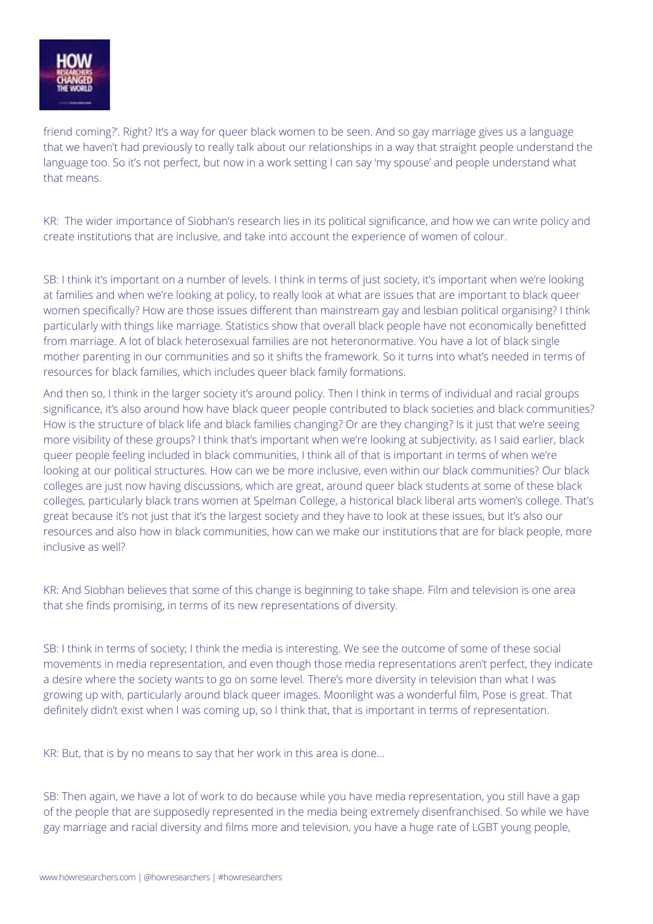

friend coming?'. Right? It's a way for queer black women to be seen. And so gay marriage gives us a language that we haven't had previously to really talk about our relationships in a way that straight people understand the language too. So it's not perfect, but now in a work setting I can say 'my spouse' and people understand what that means.

KR: The wider importance of Siobhan's research lies in its political significance, and how we can write policy and create institutions that are inclusive, and take into account the experience of women of colour.

SB: I think it's important on a number of levels. I think in terms of just society, it's important when we're looking at families and when we're looking at policy, to really look at what are issues that are important to black queer women specifically? How are those issues different than mainstream gay and lesbian political organising? I think particularly with things like marriage. Statistics show that overall black people have not economically benefitted from marriage. A lot of black heterosexual families are not heteronormative. You have a lot of black single mother parenting in our communities and so it shifts the framework. So it turns into what's needed in terms of resources for black families, which includes queer black family formations.

And then so, I think in the larger society it's around policy. Then I think in terms of individual and racial groups significance, it's also around how have black queer people contributed to black societies and black communities? How is the structure of black life and black families changing? Or are they changing? Is it just that we're seeing more visibility of these groups? I think that's important when we're looking at subjectivity, as I said earlier, black queer people feeling included in black communities, I think all of that is important in terms of when we're looking at our political structures. How can we be more inclusive, even within our black communities? Our black colleges are just now having discussions, which are great, around queer black students at some of these black colleges, particularly black trans women at Spelman College, a historical black liberal arts women's college. That's great because it's not just that it's the largest society and they have to look at these issues, but it's also our resources and also how in black communities, how can we make our institutions that are for black people, more inclusive as well?

KR: And Siobhan believes that some of this change is beginning to take shape. Film and television is one area that she finds promising, in terms of its new representations of diversity.

SB: I think in terms of society; I think the media is interesting. We see the outcome of some of these social movements in media representation, and even though those media representations aren't perfect, they indicate a desire where the society wants to go on some level. There's more diversity in television than what I was growing up with, particularly around black queer images. Moonlight was a wonderful film, Pose is great. That definitely didn't exist when I was coming up, so I think that, that is important in terms of representation.

KR: But, that is by no means to say that her work in this area is done…

SB: Then again, we have a lot of work to do because while you have media representation, you still have a gap of the people that are supposedly represented in the media being extremely disenfranchised. So while we have gay marriage and racial diversity and films more and television, you have a huge rate of LGBT young people,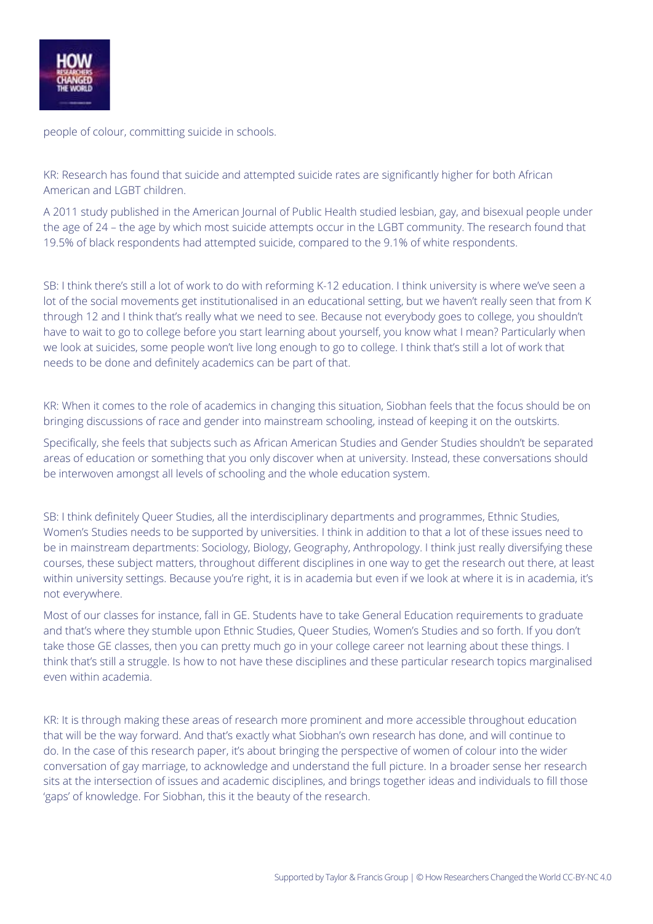

people of colour, committing suicide in schools.

KR: Research has found that suicide and attempted suicide rates are significantly higher for both African American and LGBT children.

A 2011 study published in the American Journal of Public Health studied lesbian, gay, and bisexual people under the age of 24 – the age by which most suicide attempts occur in the LGBT community. The research found that 19.5% of black respondents had attempted suicide, compared to the 9.1% of white respondents.

SB: I think there's still a lot of work to do with reforming K-12 education. I think university is where we've seen a lot of the social movements get institutionalised in an educational setting, but we haven't really seen that from K through 12 and I think that's really what we need to see. Because not everybody goes to college, you shouldn't have to wait to go to college before you start learning about yourself, you know what I mean? Particularly when we look at suicides, some people won't live long enough to go to college. I think that's still a lot of work that needs to be done and definitely academics can be part of that.

KR: When it comes to the role of academics in changing this situation, Siobhan feels that the focus should be on bringing discussions of race and gender into mainstream schooling, instead of keeping it on the outskirts.

Specifically, she feels that subjects such as African American Studies and Gender Studies shouldn't be separated areas of education or something that you only discover when at university. Instead, these conversations should be interwoven amongst all levels of schooling and the whole education system.

SB: I think definitely Queer Studies, all the interdisciplinary departments and programmes, Ethnic Studies, Women's Studies needs to be supported by universities. I think in addition to that a lot of these issues need to be in mainstream departments: Sociology, Biology, Geography, Anthropology. I think just really diversifying these courses, these subject matters, throughout different disciplines in one way to get the research out there, at least within university settings. Because you're right, it is in academia but even if we look at where it is in academia, it's not everywhere.

Most of our classes for instance, fall in GE. Students have to take General Education requirements to graduate and that's where they stumble upon Ethnic Studies, Queer Studies, Women's Studies and so forth. If you don't take those GE classes, then you can pretty much go in your college career not learning about these things. I think that's still a struggle. Is how to not have these disciplines and these particular research topics marginalised even within academia.

KR: It is through making these areas of research more prominent and more accessible throughout education that will be the way forward. And that's exactly what Siobhan's own research has done, and will continue to do. In the case of this research paper, it's about bringing the perspective of women of colour into the wider conversation of gay marriage, to acknowledge and understand the full picture. In a broader sense her research sits at the intersection of issues and academic disciplines, and brings together ideas and individuals to fill those 'gaps' of knowledge. For Siobhan, this it the beauty of the research.